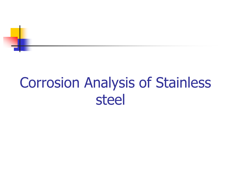

## Corrosion Analysis of Stainless steel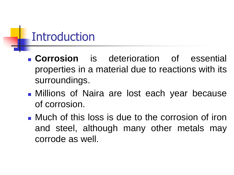### **Introduction**

- **Corrosion** is deterioration of essential properties in a material due to reactions with its surroundings.
- **In Millions of Naira are lost each year because** of corrosion.
- **Nuch of this loss is due to the corrosion of iron** and steel, although many other metals may corrode as well.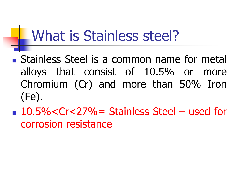## What is Stainless steel?

- Stainless Steel is a common name for metal alloys that consist of 10.5% or more Chromium (Cr) and more than 50% Iron (Fe).
- 10.5%<Cr<27%= Stainless Steel used for corrosion resistance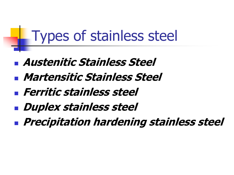## Types of stainless steel

- **Austenitic Stainless Steel**
- **Martensitic Stainless Steel**
- **Ferritic stainless steel**
- **Duplex stainless steel**
- **Precipitation hardening stainless steel**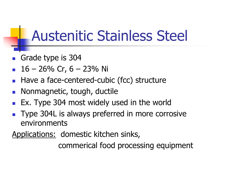## Austenitic Stainless Steel

- Grade type is 304
- 16 26% Cr, 6 23% Ni
- Have a face-centered-cubic (fcc) structure
- Nonmagnetic, tough, ductile
- Ex. Type 304 most widely used in the world
- Type 304L is always preferred in more corrosive environments

Applications: domestic kitchen sinks,

commerical food processing equipment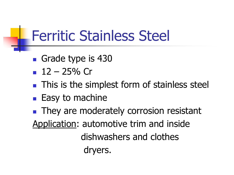## Ferritic Stainless Steel

- Grade type is 430
- $12 25%$  Cr
- **This is the simplest form of stainless steel**
- $\blacksquare$  Easy to machine

**They are moderately corrosion resistant** Application: automotive trim and inside dishwashers and clothes dryers.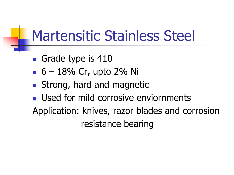## Martensitic Stainless Steel

- Grade type is 410
- $-6 18\%$  Cr, upto 2% Ni
- Strong, hard and magnetic
- **Used for mild corrosive enviornments**

Application: knives, razor blades and corrosion resistance bearing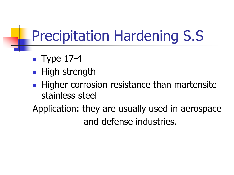# Precipitation Hardening S.S

- $\blacksquare$  Type 17-4
- **High strength**
- Higher corrosion resistance than martensite stainless steel

Application: they are usually used in aerospace and defense industries.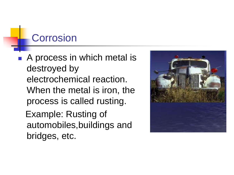### **Corrosion**

bridges, etc.

■ A process in which metal is destroyed by electrochemical reaction. When the metal is iron, the process is called rusting. Example: Rusting of automobiles,buildings and

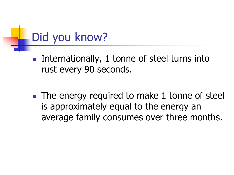### Did you know?

- **Internationally, 1 tonne of steel turns into** rust every 90 seconds.
- **The energy required to make 1 tonne of steel** is approximately equal to the energy an average family consumes over three months.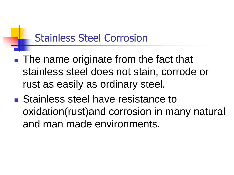### Stainless Steel Corrosion

- The name originate from the fact that stainless steel does not stain, corrode or rust as easily as ordinary steel.
- Stainless steel have resistance to oxidation(rust)and corrosion in many natural and man made environments.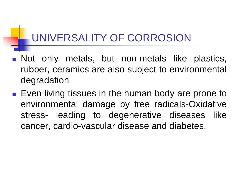### UNIVERSALITY OF CORROSION

- **Not only metals, but non-metals like plastics,** rubber, ceramics are also subject to environmental degradation
- Even living tissues in the human body are prone to environmental damage by free radicals-Oxidative stress- leading to degenerative diseases like cancer, cardio-vascular disease and diabetes.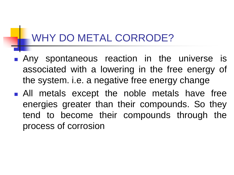### WHY DO METAL CORRODE?

- **Any spontaneous reaction in the universe is** associated with a lowering in the free energy of the system. i.e. a negative free energy change
- **All metals except the noble metals have free** energies greater than their compounds. So they tend to become their compounds through the process of corrosion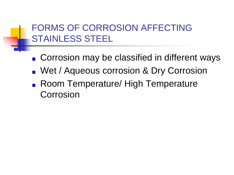### FORMS OF CORROSION AFFECTING STAINLESS STEEL

- Corrosion may be classified in different ways
- **Net / Aqueous corrosion & Dry Corrosion**
- Room Temperature/ High Temperature Corrosion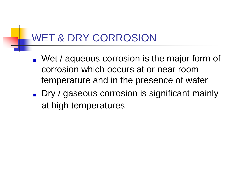### WET & DRY CORROSION

- **Net / aqueous corrosion is the major form of** corrosion which occurs at or near room temperature and in the presence of water
- Dry / gaseous corrosion is significant mainly at high temperatures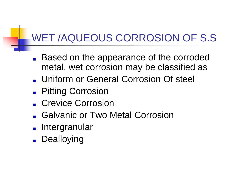### WET /AQUEOUS CORROSION OF S.S

- Based on the appearance of the corroded  $\mathbf{r}$ metal, wet corrosion may be classified as
- Uniform or General Corrosion Of steel
- **Pitting Corrosion**
- **Crevice Corrosion**
- Galvanic or Two Metal Corrosion
- **Intergranular**
- **Dealloying**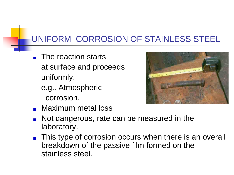#### UNIFORM CORROSION OF STAINLESS STEEL

- **The reaction starts**  at surface and proceeds uniformly.
	- e.g.. Atmospheric corrosion.



- **Naximum metal loss**
- Not dangerous, rate can be measured in the laboratory.
- **This type of corrosion occurs when there is an overall** breakdown of the passive film formed on the stainless steel.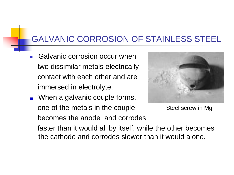#### GALVANIC CORROSION OF STAINLESS STEEL

- Galvanic corrosion occur when two dissimilar metals electrically contact with each other and are immersed in electrolyte.
- **Notakary Milters**, When a galvanic couple forms, one of the metals in the couple becomes the anode and corrodes



Steel screw in Mg

 faster than it would all by itself, while the other becomes the cathode and corrodes slower than it would alone.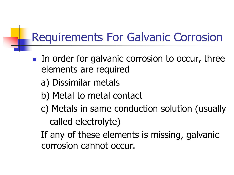### Requirements For Galvanic Corrosion

- **IF In order for galvanic corrosion to occur, three** elements are required
	- a) Dissimilar metals
	- b) Metal to metal contact
	- c) Metals in same conduction solution (usually called electrolyte)
	- If any of these elements is missing, galvanic corrosion cannot occur.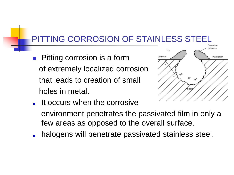#### PITTING CORROSION OF STAINLESS STEEL

 Pitting corrosion is a form of extremely localized corrosion that leads to creation of small holes in metal.



- It occurs when the corrosive
	- environment penetrates the passivated film in only a few areas as opposed to the overall surface.
- halogens will penetrate passivated stainless steel.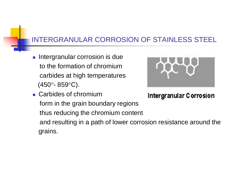#### INTERGRANULAR CORROSION OF STAINLESS STEEL

**Intergranular corrosion is due**  to the formation of chromium carbides at high temperatures  $(450^{\circ} - 859^{\circ}C)$ .



Intergranular Corrosion

■ Carbides of chromium form in the grain boundary regions thus reducing the chromium content and resulting in a path of lower corrosion resistance around the grains.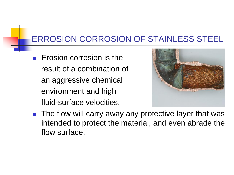#### ERROSION CORROSION OF STAINLESS STEEL

 $\blacksquare$  Erosion corrosion is the result of a combination of an aggressive chemical environment and high fluid-surface velocities.



■ The flow will carry away any protective layer that was intended to protect the material, and even abrade the flow surface.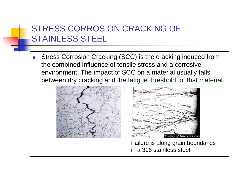#### STRESS CORROSION CRACKING OF STAINLESS STEEL

**Stress Corrosion Cracking (SCC) is the cracking induced from** the combined influence of tensile stress and a corrosive environment. The impact of SCC on a material usually falls between dry cracking and the fatigue threshold of that material.

.





Failure is along grain boundaries in a 316 stainless steel.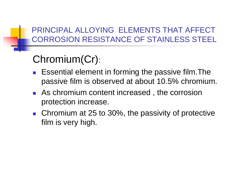#### PRINCIPAL ALLOYING ELEMENTS THAT AFFECT CORROSION RESISTANCE OF STAINLESS STEEL

### Chromium(Cr):

- Essential element in forming the passive film.The passive film is observed at about 10.5% chromium.
- **As chromium content increased, the corrosion** protection increase.
- Chromium at 25 to 30%, the passivity of protective film is very high.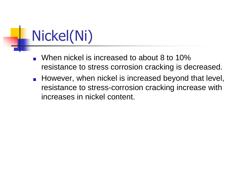Nickel(Ni)

- When nickel is increased to about 8 to 10% resistance to stress corrosion cracking is decreased.
- **However, when nickel is increased beyond that level,** resistance to stress-corrosion cracking increase with increases in nickel content.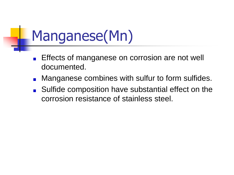# Manganese(Mn)

- Effects of manganese on corrosion are not well documented.
- Manganese combines with sulfur to form sulfides.
- Sulfide composition have substantial effect on the corrosion resistance of stainless steel.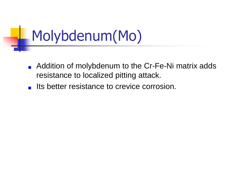# Molybdenum(Mo)

- Addition of molybdenum to the Cr-Fe-Ni matrix adds  $\blacksquare$ resistance to localized pitting attack.
- Its better resistance to crevice corrosion.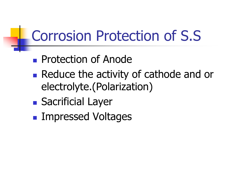## Corrosion Protection of S.S

- **Protection of Anode**
- Reduce the activity of cathode and or electrolyte.(Polarization)
- **Sacrificial Layer**
- **Impressed Voltages**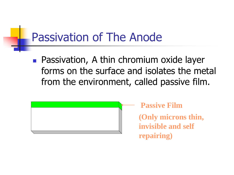### Passivation of The Anode

**Passivation, A thin chromium oxide layer** forms on the surface and isolates the metal from the environment, called passive film.



**Passive Film (Only microns thin, invisible and self repairing)**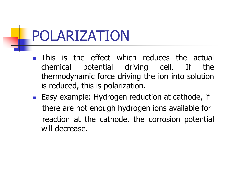## POLARIZATION

- **This is the effect which reduces the actual** chemical potential driving cell. If the thermodynamic force driving the ion into solution is reduced, this is polarization.
- **Easy example: Hydrogen reduction at cathode, if**  there are not enough hydrogen ions available for reaction at the cathode, the corrosion potential will decrease.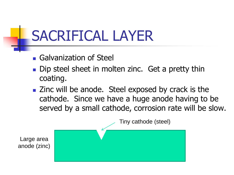## SACRIFICAL LAYER

- **Galvanization of Steel**
- Dip steel sheet in molten zinc. Get a pretty thin coating.
- Zinc will be anode. Steel exposed by crack is the cathode. Since we have a huge anode having to be served by a small cathode, corrosion rate will be slow.

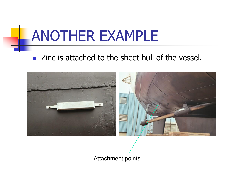## ANOTHER EXAMPLE

■ Zinc is attached to the sheet hull of the vessel.



Attachment points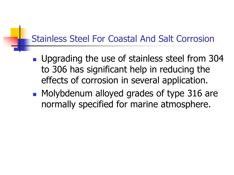### Stainless Steel For Coastal And Salt Corrosion

- **Upgrading the use of stainless steel from 304** to 306 has significant help in reducing the effects of corrosion in several application.
- **Molybdenum alloyed grades of type 316 are** normally specified for marine atmosphere.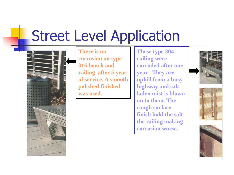## Street Level Application



**There is no corrosion on type 316 bench and railing after 5 year of service. A smooth polished finished was used.**

**These type 304 railing were corroded after one year . They are uphill from a busy highway and salt laden mist is blown on to them. The rough surface finish hold the salt the railing making corrosion worse.**





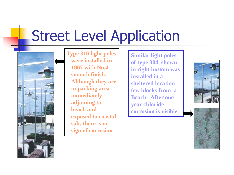## Street Level Application



**Type 316 light poles were installed in 1967 with No.4 smooth finish. Although they are in parking area immediately adjoining to beach and exposed to coastal salt, there is no sign of corrosion**

**Similar light poles of type 304, shown in right bottom was installed in a sheltered location few blocks from a Beach. After one year chloride corrosion is visible.**



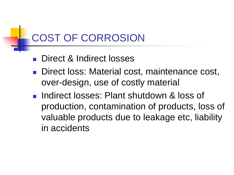### COST OF CORROSION

- **Direct & Indirect losses**
- Direct loss: Material cost, maintenance cost, over-design, use of costly material
- **Indirect losses: Plant shutdown & loss of** production, contamination of products, loss of valuable products due to leakage etc, liability in accidents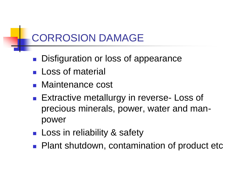### CORROSION DAMAGE

- Disfiguration or loss of appearance
- **Loss of material**
- **Naintenance cost**
- **Extractive metallurgy in reverse- Loss of** precious minerals, power, water and manpower
- **Loss in reliability & safety**
- **Plant shutdown, contamination of product etc**